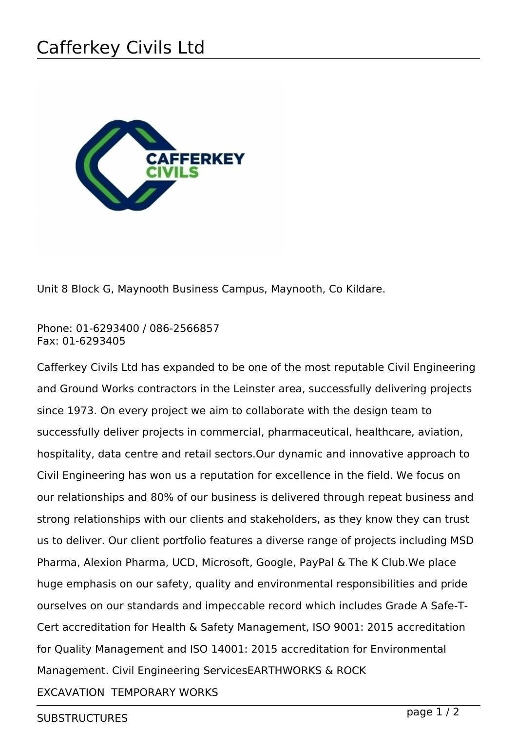## Cafferkey Civils Ltd



Unit 8 Block G, Maynooth Business Campus, Maynooth, Co Kildare.

Phone: 01-6293400 / 086-2566857 Fax: 01-6293405

Cafferkey Civils Ltd has expanded to be one of the most reputable Civil Engineering and Ground Works contractors in the Leinster area, successfully delivering projects since 1973. On every project we aim to collaborate with the design team to successfully deliver projects in commercial, pharmaceutical, healthcare, aviation, hospitality, data centre and retail sectors.Our dynamic and innovative approach to Civil Engineering has won us a reputation for excellence in the field. We focus on our relationships and 80% of our business is delivered through repeat business and strong relationships with our clients and stakeholders, as they know they can trust us to deliver. Our client portfolio features a diverse range of projects including MSD Pharma, Alexion Pharma, UCD, Microsoft, Google, PayPal & The K Club.We place huge emphasis on our safety, quality and environmental responsibilities and pride ourselves on our standards and impeccable record which includes Grade A Safe-T-Cert accreditation for Health & Safety Management, ISO 9001: 2015 accreditation for Quality Management and ISO 14001: 2015 accreditation for Environmental Management. Civil Engineering ServicesEARTHWORKS & ROCK EXCAVATION TEMPORARY WORKS

SUBSTRUCTURES page 1 / 2